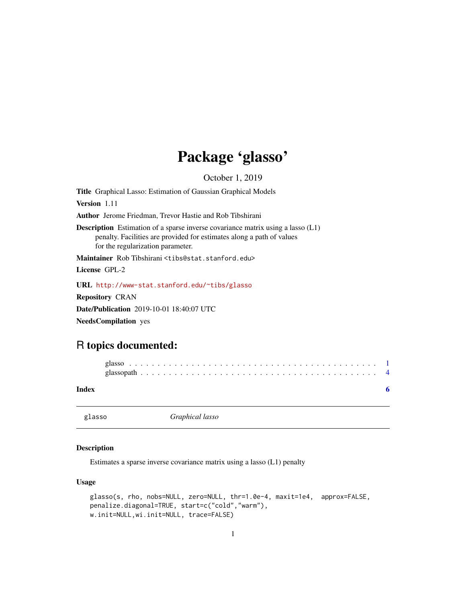## Package 'glasso'

October 1, 2019

<span id="page-0-0"></span>Title Graphical Lasso: Estimation of Gaussian Graphical Models Version 1.11 Author Jerome Friedman, Trevor Hastie and Rob Tibshirani Description Estimation of a sparse inverse covariance matrix using a lasso (L1) penalty. Facilities are provided for estimates along a path of values for the regularization parameter. Maintainer Rob Tibshirani <tibs@stat.stanford.edu> License GPL-2 URL <http://www-stat.stanford.edu/~tibs/glasso> Repository CRAN Date/Publication 2019-10-01 18:40:07 UTC

NeedsCompilation yes

### R topics documented:

#### **Index** [6](#page-5-0) **6**

glasso *Graphical lasso*

#### Description

Estimates a sparse inverse covariance matrix using a lasso (L1) penalty

#### Usage

```
glasso(s, rho, nobs=NULL, zero=NULL, thr=1.0e-4, maxit=1e4, approx=FALSE,
penalize.diagonal=TRUE, start=c("cold","warm"),
w.init=NULL,wi.init=NULL, trace=FALSE)
```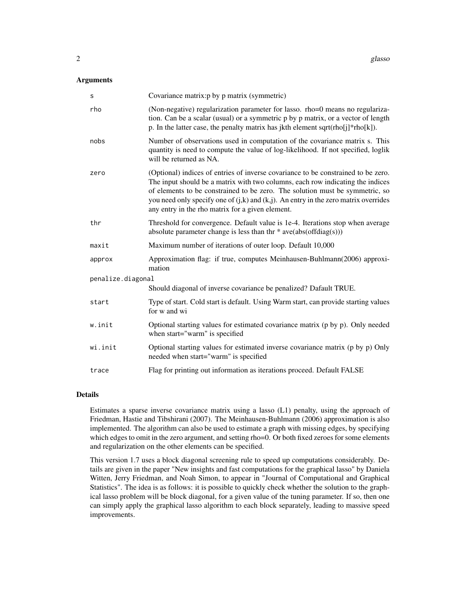#### **Arguments**

| $\mathsf S$       | Covariance matrix: p by p matrix (symmetric)                                                                                                                                                                                                                                                                                                                                                        |  |
|-------------------|-----------------------------------------------------------------------------------------------------------------------------------------------------------------------------------------------------------------------------------------------------------------------------------------------------------------------------------------------------------------------------------------------------|--|
| rho               | (Non-negative) regularization parameter for lasso. rho=0 means no regulariza-<br>tion. Can be a scalar (usual) or a symmetric p by p matrix, or a vector of length<br>p. In the latter case, the penalty matrix has jkth element sqrt(rho[j]*rho[k]).                                                                                                                                               |  |
| nobs              | Number of observations used in computation of the covariance matrix s. This<br>quantity is need to compute the value of log-likelihood. If not specified, loglik<br>will be returned as NA.                                                                                                                                                                                                         |  |
| zero              | (Optional) indices of entries of inverse covariance to be constrained to be zero.<br>The input should be a matrix with two columns, each row indicating the indices<br>of elements to be constrained to be zero. The solution must be symmetric, so<br>you need only specify one of $(j,k)$ and $(k,j)$ . An entry in the zero matrix overrides<br>any entry in the rho matrix for a given element. |  |
| thr               | Threshold for convergence. Default value is 1e-4. Iterations stop when average<br>absolute parameter change is less than thr $*$ ave $(abs(offdiag(s)))$                                                                                                                                                                                                                                            |  |
| maxit             | Maximum number of iterations of outer loop. Default 10,000                                                                                                                                                                                                                                                                                                                                          |  |
| approx            | Approximation flag: if true, computes Meinhausen-Buhlmann(2006) approxi-<br>mation                                                                                                                                                                                                                                                                                                                  |  |
| penalize.diagonal |                                                                                                                                                                                                                                                                                                                                                                                                     |  |
|                   | Should diagonal of inverse covariance be penalized? Dafault TRUE.                                                                                                                                                                                                                                                                                                                                   |  |
| start             | Type of start. Cold start is default. Using Warm start, can provide starting values<br>for w and wi                                                                                                                                                                                                                                                                                                 |  |
| w.init            | Optional starting values for estimated covariance matrix (p by p). Only needed<br>when start="warm" is specified                                                                                                                                                                                                                                                                                    |  |
| wi.init           | Optional starting values for estimated inverse covariance matrix (p by p) Only<br>needed when start="warm" is specified                                                                                                                                                                                                                                                                             |  |
| trace             | Flag for printing out information as iterations proceed. Default FALSE                                                                                                                                                                                                                                                                                                                              |  |

#### Details

Estimates a sparse inverse covariance matrix using a lasso (L1) penalty, using the approach of Friedman, Hastie and Tibshirani (2007). The Meinhausen-Buhlmann (2006) approximation is also implemented. The algorithm can also be used to estimate a graph with missing edges, by specifying which edges to omit in the zero argument, and setting rho=0. Or both fixed zeroes for some elements and regularization on the other elements can be specified.

This version 1.7 uses a block diagonal screening rule to speed up computations considerably. Details are given in the paper "New insights and fast computations for the graphical lasso" by Daniela Witten, Jerry Friedman, and Noah Simon, to appear in "Journal of Computational and Graphical Statistics". The idea is as follows: it is possible to quickly check whether the solution to the graphical lasso problem will be block diagonal, for a given value of the tuning parameter. If so, then one can simply apply the graphical lasso algorithm to each block separately, leading to massive speed improvements.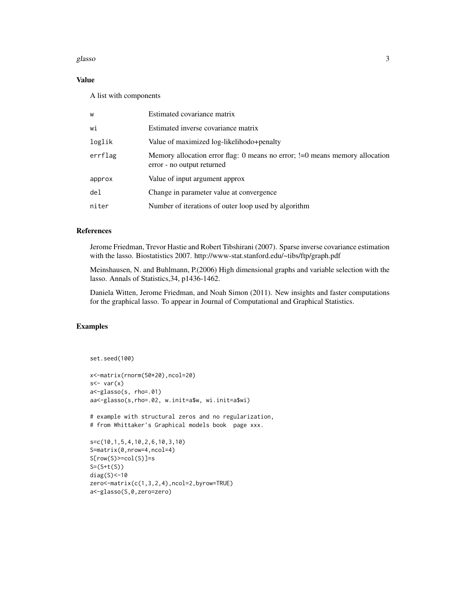#### glasso 3

#### Value

A list with components

| W       | Estimated covariance matrix                                                                                  |
|---------|--------------------------------------------------------------------------------------------------------------|
| wi      | Estimated inverse covariance matrix                                                                          |
| loglik  | Value of maximized log-likelihodo+penalty                                                                    |
| errflag | Memory allocation error flag: 0 means no error; $!=$ 0 means memory allocation<br>error - no output returned |
| approx  | Value of input argument approx                                                                               |
| de1     | Change in parameter value at convergence                                                                     |
| niter   | Number of iterations of outer loop used by algorithm                                                         |

#### References

Jerome Friedman, Trevor Hastie and Robert Tibshirani (2007). Sparse inverse covariance estimation with the lasso. Biostatistics 2007. http://www-stat.stanford.edu/~tibs/ftp/graph.pdf

Meinshausen, N. and Buhlmann, P.(2006) High dimensional graphs and variable selection with the lasso. Annals of Statistics,34, p1436-1462.

Daniela Witten, Jerome Friedman, and Noah Simon (2011). New insights and faster computations for the graphical lasso. To appear in Journal of Computational and Graphical Statistics.

#### Examples

```
set.seed(100)
```

```
x<-matrix(rnorm(50*20),ncol=20)
s <- var(x)a<-glasso(s, rho=.01)
aa<-glasso(s,rho=.02, w.init=a$w, wi.init=a$wi)
```
# example with structural zeros and no regularization, # from Whittaker's Graphical models book page xxx.

```
s=c(10,1,5,4,10,2,6,10,3,10)
S=matrix(0,nrow=4,ncol=4)
S[row(S)=col(S)]=sS=(S+t(S))diag(S)<-10
zero<-matrix(c(1,3,2,4),ncol=2,byrow=TRUE)
a<-glasso(S,0,zero=zero)
```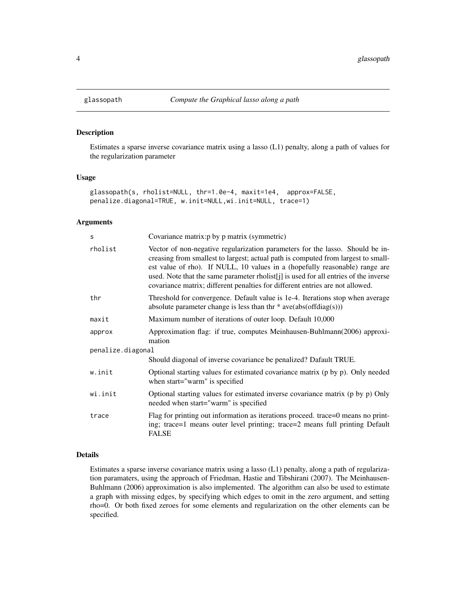#### Description

Estimates a sparse inverse covariance matrix using a lasso (L1) penalty, along a path of values for the regularization parameter

#### Usage

```
glassopath(s, rholist=NULL, thr=1.0e-4, maxit=1e4, approx=FALSE,
penalize.diagonal=TRUE, w.init=NULL,wi.init=NULL, trace=1)
```
#### Arguments

| S                 | Covariance matrix: p by p matrix (symmetric)                                                                                                                                                                                                                                                                                                                                                                               |  |
|-------------------|----------------------------------------------------------------------------------------------------------------------------------------------------------------------------------------------------------------------------------------------------------------------------------------------------------------------------------------------------------------------------------------------------------------------------|--|
| rholist           | Vector of non-negative regularization parameters for the lasso. Should be in-<br>creasing from smallest to largest; actual path is computed from largest to small-<br>est value of rho). If NULL, 10 values in a (hopefully reasonable) range are<br>used. Note that the same parameter rholist[j] is used for all entries of the inverse<br>covariance matrix; different penalties for different entries are not allowed. |  |
| thr               | Threshold for convergence. Default value is 1e-4. Iterations stop when average<br>absolute parameter change is less than thr $*$ ave $(abs(offdiag(s)))$                                                                                                                                                                                                                                                                   |  |
| maxit             | Maximum number of iterations of outer loop. Default 10,000                                                                                                                                                                                                                                                                                                                                                                 |  |
| approx            | Approximation flag: if true, computes Meinhausen-Buhlmann(2006) approxi-<br>mation                                                                                                                                                                                                                                                                                                                                         |  |
| penalize.diagonal |                                                                                                                                                                                                                                                                                                                                                                                                                            |  |
|                   | Should diagonal of inverse covariance be penalized? Dafault TRUE.                                                                                                                                                                                                                                                                                                                                                          |  |
| w.init            | Optional starting values for estimated covariance matrix (p by p). Only needed<br>when start="warm" is specified                                                                                                                                                                                                                                                                                                           |  |
| wi.init           | Optional starting values for estimated inverse covariance matrix (p by p) Only<br>needed when start="warm" is specified                                                                                                                                                                                                                                                                                                    |  |
| trace             | Flag for printing out information as iterations proceed. trace=0 means no print-<br>ing; trace=1 means outer level printing; trace=2 means full printing Default<br><b>FALSE</b>                                                                                                                                                                                                                                           |  |

#### Details

Estimates a sparse inverse covariance matrix using a lasso (L1) penalty, along a path of regularization paramaters, using the approach of Friedman, Hastie and Tibshirani (2007). The Meinhausen-Buhlmann (2006) approximation is also implemented. The algorithm can also be used to estimate a graph with missing edges, by specifying which edges to omit in the zero argument, and setting rho=0. Or both fixed zeroes for some elements and regularization on the other elements can be specified.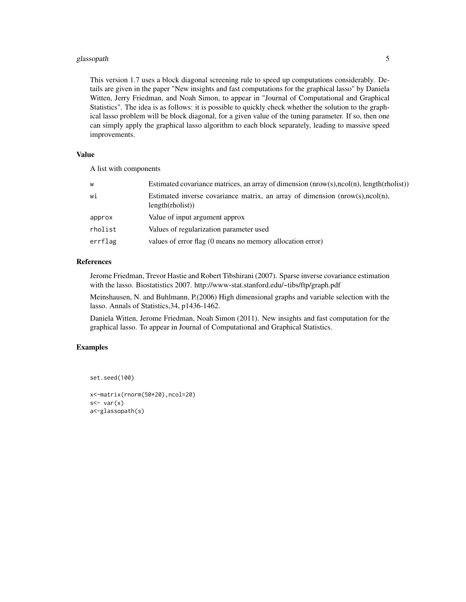#### glassopath 5

This version 1.7 uses a block diagonal screening rule to speed up computations considerably. Details are given in the paper "New insights and fast computations for the graphical lasso" by Daniela Witten, Jerry Friedman, and Noah Simon, to appear in "Journal of Computational and Graphical Statistics". The idea is as follows: it is possible to quickly check whether the solution to the graphical lasso problem will be block diagonal, for a given value of the tuning parameter. If so, then one can simply apply the graphical lasso algorithm to each block separately, leading to massive speed improvements.

#### Value

A list with components

| W       | Estimated covariance matrices, an array of dimension $(nrow(s),ncol(n), length(rholist))$           |
|---------|-----------------------------------------------------------------------------------------------------|
| wi      | Estimated inverse covariance matrix, an array of dimension $(nrow(s), ncol(n),$<br>length(rholist)) |
| approx  | Value of input argument approx                                                                      |
| rholist | Values of regularization parameter used                                                             |
| errflag | values of error flag (0 means no memory allocation error)                                           |

#### References

Jerome Friedman, Trevor Hastie and Robert Tibshirani (2007). Sparse inverse covariance estimation with the lasso. Biostatistics 2007. http://www-stat.stanford.edu/~tibs/ftp/graph.pdf

Meinshausen, N. and Buhlmann, P.(2006) High dimensional graphs and variable selection with the lasso. Annals of Statistics,34, p1436-1462.

Daniela Witten, Jerome Friedman, Noah Simon (2011). New insights and fast computation for the graphical lasso. To appear in Journal of Computational and Graphical Statistics.

#### Examples

```
set.seed(100)
```

```
x<-matrix(rnorm(50*20),ncol=20)
s <- var(x)a<-glassopath(s)
```